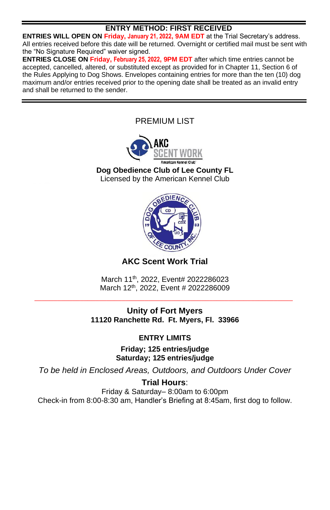# **ENTRY METHOD: FIRST RECEIVED**

**ENTRIES WILL OPEN ON Friday, January 21, 2022, 9AM EDT** at the Trial Secretary's address. All entries received before this date will be returned. Overnight or certified mail must be sent with the "No Signature Required" waiver signed.

**ENTRIES CLOSE ON Friday, February 25, 2022, 9PM EDT** after which time entries cannot be accepted, cancelled, altered, or substituted except as provided for in Chapter 11, Section 6 of the Rules Applying to Dog Shows. Envelopes containing entries for more than the ten (10) dog maximum and/or entries received prior to the opening date shall be treated as an invalid entry and shall be returned to the sender.

> PREMIUM LIST **Dog Obedience Club of Lee County FL** Licensed by the American Kennel Club



# **AKC Scent Work Trial**

March 11<sup>th</sup>, 2022, Event# 2022286023 March 12<sup>th</sup>, 2022, Event # 2022286009 **\_\_\_\_\_\_\_\_\_\_\_\_\_\_\_\_\_\_\_\_\_\_\_\_\_\_\_\_\_\_\_\_\_\_\_\_\_\_\_\_\_\_\_\_\_\_\_\_\_\_\_\_\_\_\_\_\_\_\_\_\_\_\_\_\_\_\_\_**

# **Unity of Fort Myers 11120 Ranchette Rd. Ft. Myers, Fl. 33966**

# **ENTRY LIMITS**

**Friday; 125 entries/judge Saturday; 125 entries/judge**

*To be held in Enclosed Areas, Outdoors, and Outdoors Under Cover*

**Trial Hours**: Friday & Saturday– 8:00am to 6:00pm Check-in from 8:00-8:30 am, Handler's Briefing at 8:45am, first dog to follow.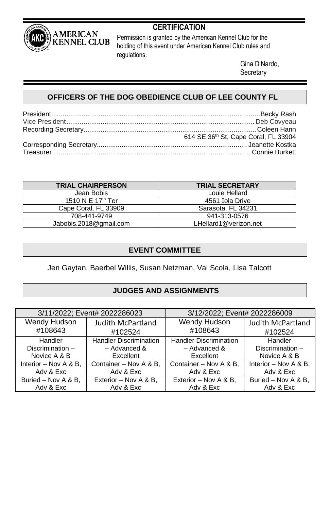

# **CERTIFICATION**

Permission is granted by the American Kennel Club for the holding of this event under American Kennel Club rules and regulations.

> Gina DiNardo, **Secretary**

# **OFFICERS OF THE DOG OBEDIENCE CLUB OF LEE COUNTY FL**

| 614 SE 36th St, Cape Coral, FL 33904 |
|--------------------------------------|
|                                      |
|                                      |

| <b>TRIAL CHAIRPERSON</b>      | <b>TRIAL SECRETARY</b> |
|-------------------------------|------------------------|
| Jean Bobis                    | Louie Hellard          |
| 1510 N E 17 <sup>th</sup> Ter | 4561 Iola Drive        |
| Cape Coral, FL 33909          | Sarasota, FL 34231     |
| 708-441-9749                  | 941-313-0576           |
| Jabobis.2018@gmail.com        | LHellard1@verizon.net  |

# **EVENT COMMITTEE**

Jen Gaytan, Baerbel Willis, Susan Netzman, Val Scola, Lisa Talcott

# **JUDGES AND ASSIGNMENTS**

| 3/11/2022; Event# 2022286023 |                               | 3/12/2022; Event# 2022286009  |                          |  |  |
|------------------------------|-------------------------------|-------------------------------|--------------------------|--|--|
| Wendy Hudson                 | <b>Judith McPartland</b>      | Wendy Hudson                  | <b>Judith McPartland</b> |  |  |
| #108643                      | #102524                       | #108643                       | #102524                  |  |  |
| Handler                      | <b>Handler Discrimination</b> | <b>Handler Discrimination</b> | Handler                  |  |  |
| Discrimination -             | $-$ Advanced &                | $-$ Advanced &                | Discrimination-          |  |  |
| Novice A & B                 | Excellent                     | Excellent                     | Novice A & B             |  |  |
| Interior - Nov A & B,        | Container - Nov A & B,        | Container - Nov A & B,        | Interior - Nov A & B.    |  |  |
| Adv & Exc                    | Adv & Exc                     | Adv & Exc                     | Adv & Exc                |  |  |
| Buried - Nov A & B,          | Exterior - Nov A & B.         | Exterior - Nov A & B,         | Buried - Nov A & B,      |  |  |
| Adv & Exc                    | Adv & Exc                     | Adv & Exc                     | Adv & Exc                |  |  |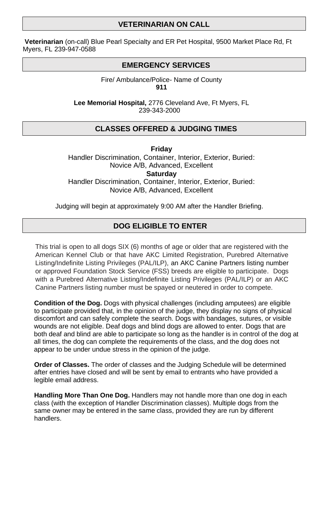## **VETERINARIAN ON CALL**

**Veterinarian** (on-call) Blue Pearl Specialty and ER Pet Hospital, 9500 Market Place Rd, Ft Myers, FL 239-947-0588

#### **EMERGENCY SERVICES**

Fire/ Ambulance/Police- Name of County **911**

**Lee Memorial Hospital,** 2776 Cleveland Ave, Ft Myers, FL 239-343-2000

## **CLASSES OFFERED & JUDGING TIMES**

**Friday** Handler Discrimination, Container, Interior, Exterior, Buried: Novice A/B, Advanced, Excellent **Saturday** Handler Discrimination, Container, Interior, Exterior, Buried:

Novice A/B, Advanced, Excellent

Judging will begin at approximately 9:00 AM after the Handler Briefing.

## **DOG ELIGIBLE TO ENTER**

This trial is open to all dogs SIX (6) months of age or older that are registered with the American Kennel Club or that have AKC Limited Registration, Purebred Alternative Listing/Indefinite Listing Privileges (PAL/ILP), an AKC Canine Partners listing number or approved Foundation Stock Service (FSS) breeds are eligible to participate. Dogs with a Purebred Alternative Listing/Indefinite Listing Privileges (PAL/ILP) or an AKC Canine Partners listing number must be spayed or neutered in order to compete.

**Condition of the Dog.** Dogs with physical challenges (including amputees) are eligible to participate provided that, in the opinion of the judge, they display no signs of physical discomfort and can safely complete the search. Dogs with bandages, sutures, or visible wounds are not eligible. Deaf dogs and blind dogs are allowed to enter. Dogs that are both deaf and blind are able to participate so long as the handler is in control of the dog at all times, the dog can complete the requirements of the class, and the dog does not appear to be under undue stress in the opinion of the judge.

**Order of Classes.** The order of classes and the Judging Schedule will be determined after entries have closed and will be sent by email to entrants who have provided a legible email address.

**Handling More Than One Dog.** Handlers may not handle more than one dog in each class (with the exception of Handler Discrimination classes). Multiple dogs from the same owner may be entered in the same class, provided they are run by different handlers.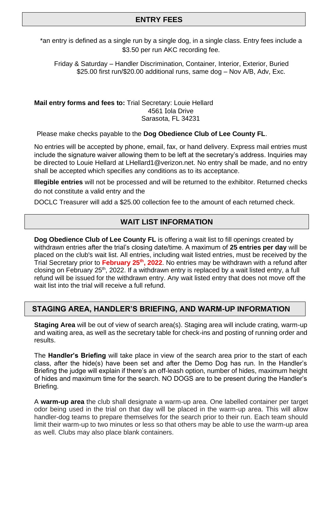## **ENTRY FEES**

\*an entry is defined as a single run by a single dog, in a single class. Entry fees include a \$3.50 per run AKC recording fee.

Friday & Saturday – Handler Discrimination, Container, Interior, Exterior, Buried \$25.00 first run/\$20.00 additional runs, same dog – Nov A/B, Adv, Exc.

**Mail entry forms and fees to:** Trial Secretary: Louie Hellard 4561 Iola Drive Sarasota, FL 34231

Please make checks payable to the **Dog Obedience Club of Lee County FL**.

No entries will be accepted by phone, email, fax, or hand delivery. Express mail entries must include the signature waiver allowing them to be left at the secretary's address. Inquiries may be directed to Louie Hellard at LHellard1@verizon.net. No entry shall be made, and no entry shall be accepted which specifies any conditions as to its acceptance.

**Illegible entries** will not be processed and will be returned to the exhibitor. Returned checks do not constitute a valid entry and the

DOCLC Treasurer will add a \$25.00 collection fee to the amount of each returned check.

## **WAIT LIST INFORMATION**

**Dog Obedience Club of Lee County FL** is offering a wait list to fill openings created by withdrawn entries after the trial's closing date/time. A maximum of **25 entries per day** will be placed on the club's wait list. All entries, including wait listed entries, must be received by the Trial Secretary prior to **February 25 th, 2022**. No entries may be withdrawn with a refund after closing on February 25<sup>th</sup>, 2022. If a withdrawn entry is replaced by a wait listed entry, a full refund will be issued for the withdrawn entry. Any wait listed entry that does not move off the wait list into the trial will receive a full refund.

#### **STAGING AREA, HANDLER'S BRIEFING, AND WARM-UP INFORMATION**

**Staging Area** will be out of view of search area(s). Staging area will include crating, warm-up and waiting area, as well as the secretary table for check-ins and posting of running order and results.

The **Handler's Briefing** will take place in view of the search area prior to the start of each class, after the hide(s) have been set and after the Demo Dog has run. In the Handler's Briefing the judge will explain if there's an off-leash option, number of hides, maximum height of hides and maximum time for the search. NO DOGS are to be present during the Handler's Briefing.

A **warm-up area** the club shall designate a warm-up area. One labelled container per target odor being used in the trial on that day will be placed in the warm-up area. This will allow handler-dog teams to prepare themselves for the search prior to their run. Each team should limit their warm-up to two minutes or less so that others may be able to use the warm-up area as well. Clubs may also place blank containers.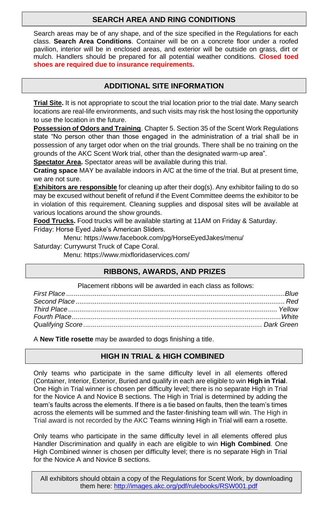# **SEARCH AREA AND RING CONDITIONS**

Search areas may be of any shape, and of the size specified in the Regulations for each class. **Search Area Conditions**. Container will be on a concrete floor under a roofed pavilion, interior will be in enclosed areas, and exterior will be outside on grass, dirt or mulch. Handlers should be prepared for all potential weather conditions. **Closed toed shoes are required due to insurance requirements.**

# **ADDITIONAL SITE INFORMATION**

**Trial Site.** It is not appropriate to scout the trial location prior to the trial date. Many search locations are real-life environments, and such visits may risk the host losing the opportunity to use the location in the future.

**Possession of Odors and Training**. Chapter 5. Section 35 of the Scent Work Regulations state "No person other than those engaged in the administration of a trial shall be in possession of any target odor when on the trial grounds. There shall be no training on the grounds of the AKC Scent Work trial, other than the designated warm-up area".

**Spectator Area.** Spectator areas will be available during this trial.

**Crating space** MAY be available indoors in A/C at the time of the trial. But at present time, we are not sure.

**Exhibitors are responsible** for cleaning up after their dog(s). Any exhibitor failing to do so may be excused without benefit of refund if the Event Committee deems the exhibitor to be in violation of this requirement. Cleaning supplies and disposal sites will be available at various locations around the show grounds.

**Food Trucks.** Food trucks will be available starting at 11AM on Friday & Saturday.

Friday: Horse Eyed Jake's American Sliders.

Menu: https://www.facebook.com/pg/HorseEyedJakes/menu/

Saturday: Currywurst Truck of Cape Coral.

Menu: https://www.mixfloridaservices.com/

# **RIBBONS, AWARDS, AND PRIZES**

Placement ribbons will be awarded in each class as follows:

A **New Title rosette** may be awarded to dogs finishing a title.

# **HIGH IN TRIAL & HIGH COMBINED**

Only teams who participate in the same difficulty level in all elements offered (Container, Interior, Exterior, Buried and qualify in each are eligible to win **High in Trial**. One High in Trial winner is chosen per difficulty level; there is no separate High in Trial for the Novice A and Novice B sections. The High in Trial is determined by adding the team's faults across the elements. If there is a tie based on faults, then the team's times across the elements will be summed and the faster-finishing team will win. The High in Trial award is not recorded by the AKC Teams winning High in Trial will earn a rosette.

Only teams who participate in the same difficulty level in all elements offered plus Handler Discrimination and qualify in each are eligible to win **High Combined**. One High Combined winner is chosen per difficulty level; there is no separate High in Trial for the Novice A and Novice B sections.

All exhibitors should obtain a copy of the Regulations for Scent Work, by downloading them here: http://images.akc.org/pdf/rulebooks/RSW001.pdf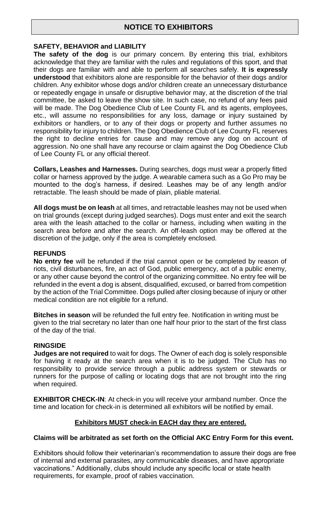## **NOTICE TO EXHIBITORS**

#### **SAFETY, BEHAVIOR and LIABILITY**

**The safety of the dog** is our primary concern. By entering this trial, exhibitors acknowledge that they are familiar with the rules and regulations of this sport, and that their dogs are familiar with and able to perform all searches safely. **It is expressly understood** that exhibitors alone are responsible for the behavior of their dogs and/or children. Any exhibitor whose dogs and/or children create an unnecessary disturbance or repeatedly engage in unsafe or disruptive behavior may, at the discretion of the trial committee, be asked to leave the show site. In such case, no refund of any fees paid will be made. The Dog Obedience Club of Lee County FL and its agents, employees, etc., will assume no responsibilities for any loss, damage or injury sustained by exhibitors or handlers, or to any of their dogs or property and further assumes no responsibility for injury to children. The Dog Obedience Club of Lee County FL reserves the right to decline entries for cause and may remove any dog on account of aggression. No one shall have any recourse or claim against the Dog Obedience Club of Lee County FL or any official thereof.

**Collars, Leashes and Harnesses.** During searches, dogs must wear a properly fitted collar or harness approved by the judge. A wearable camera such as a Go Pro may be mounted to the dog's harness, if desired. Leashes may be of any length and/or retractable. The leash should be made of plain, pliable material.

**All dogs must be on leash** at all times, and retractable leashes may not be used when on trial grounds (except during judged searches). Dogs must enter and exit the search area with the leash attached to the collar or harness, including when waiting in the search area before and after the search. An off-leash option may be offered at the discretion of the judge, only if the area is completely enclosed.

#### **REFUNDS**

**No entry fee** will be refunded if the trial cannot open or be completed by reason of riots, civil disturbances, fire, an act of God, public emergency, act of a public enemy, or any other cause beyond the control of the organizing committee. No entry fee will be refunded in the event a dog is absent, disqualified, excused, or barred from competition by the action of the Trial Committee. Dogs pulled after closing because of injury or other medical condition are not eligible for a refund.

**Bitches in season** will be refunded the full entry fee. Notification in writing must be given to the trial secretary no later than one half hour prior to the start of the first class of the day of the trial.

#### **RINGSIDE**

**Judges are not required** to wait for dogs. The Owner of each dog is solely responsible for having it ready at the search area when it is to be judged. The Club has no responsibility to provide service through a public address system or stewards or runners for the purpose of calling or locating dogs that are not brought into the ring when required.

**EXHIBITOR CHECK-IN**: At check-in you will receive your armband number. Once the time and location for check-in is determined all exhibitors will be notified by email.

#### **Exhibitors MUST check-in EACH day they are entered.**

#### **Claims will be arbitrated as set forth on the Official AKC Entry Form for this event.**

Exhibitors should follow their veterinarian's recommendation to assure their dogs are free of internal and external parasites, any communicable diseases, and have appropriate vaccinations." Additionally, clubs should include any specific local or state health requirements, for example, proof of rabies vaccination.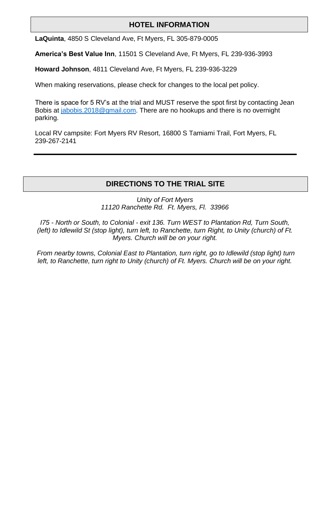## **HOTEL INFORMATION**

**LaQuinta**, 4850 S Cleveland Ave, Ft Myers, FL 305-879-0005

**America's Best Value Inn**, 11501 S Cleveland Ave, Ft Myers, FL 239-936-3993

**Howard Johnson**, 4811 Cleveland Ave, Ft Myers, FL 239-936-3229

When making reservations, please check for changes to the local pet policy.

There is space for 5 RV's at the trial and MUST reserve the spot first by contacting Jean Bobis at jabobis.2018@gmail.com. There are no hookups and there is no overnight parking.

Local RV campsite: Fort Myers RV Resort, 16800 S Tamiami Trail, Fort Myers, FL 239-267-2141

## **DIRECTIONS TO THE TRIAL SITE**

*Unity of Fort Myers 11120 Ranchette Rd. Ft. Myers, Fl. 33966*

*I75 - North or South, to Colonial - exit 136. Turn WEST to Plantation Rd, Turn South, (left) to Idlewild St (stop light), turn left, to Ranchette, turn Right, to Unity (church) of Ft. Myers. Church will be on your right.*

*From nearby towns, Colonial East to Plantation, turn right, go to Idlewild (stop light) turn left, to Ranchette, turn right to Unity (church) of Ft. Myers. Church will be on your right.*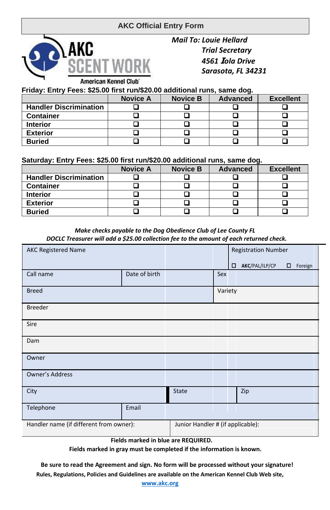# **AKC Official Entry Form**



*Mail To: Louie Hellard Trial Secretary 4561* **I***ola Drive Sarasota, FL 34231*

**Friday: Entry Fees: \$25.00 first run/\$20.00 additional runs, same dog.**

|                               | <b>Novice A</b> | <b>Novice B</b> | <b>Advanced</b> | <b>Excellent</b> |
|-------------------------------|-----------------|-----------------|-----------------|------------------|
| <b>Handler Discrimination</b> |                 |                 |                 |                  |
| <b>Container</b>              |                 |                 |                 |                  |
| <b>Interior</b>               |                 |                 |                 |                  |
| <b>Exterior</b>               |                 |                 |                 |                  |
| <b>Buried</b>                 |                 |                 |                 |                  |

**Saturday: Entry Fees: \$25.00 first run/\$20.00 additional runs, same dog.**

|                               | <b>Novice A</b> | <b>Novice B</b> | <b>Advanced</b> | <b>Excellent</b> |  |  |
|-------------------------------|-----------------|-----------------|-----------------|------------------|--|--|
| <b>Handler Discrimination</b> |                 |                 |                 |                  |  |  |
| <b>Container</b>              |                 |                 |                 |                  |  |  |
| <b>Interior</b>               |                 |                 |                 |                  |  |  |
| <b>Exterior</b>               |                 |                 |                 |                  |  |  |
| <b>Buried</b>                 |                 |                 |                 |                  |  |  |

#### *Make checks payable to the Dog Obedience Club of Lee County FL DOCLC Treasurer will add a \$25.00 collection fee to the amount of each returned check.*

| <b>AKC Registered Name</b>              |               |                                   |         | <b>Registration Number</b> |                |        |         |
|-----------------------------------------|---------------|-----------------------------------|---------|----------------------------|----------------|--------|---------|
|                                         |               |                                   |         | о                          | AKC/PAL/ILP/CP | $\Box$ | Foreign |
| Call name                               | Date of birth |                                   | Sex     |                            |                |        |         |
| <b>Breed</b>                            |               |                                   | Variety |                            |                |        |         |
| <b>Breeder</b>                          |               |                                   |         |                            |                |        |         |
| Sire                                    |               |                                   |         |                            |                |        |         |
| Dam                                     |               |                                   |         |                            |                |        |         |
| Owner                                   |               |                                   |         |                            |                |        |         |
| Owner's Address                         |               |                                   |         |                            |                |        |         |
| City                                    |               | <b>State</b>                      |         |                            | Zip            |        |         |
| Telephone                               | Email         |                                   |         |                            |                |        |         |
| Handler name (if different from owner): |               | Junior Handler # (if applicable): |         |                            |                |        |         |

**Fields marked in blue are REQUIRED.**

**Fields marked in gray must be completed if the information is known.**

**Be sure to read the Agreement and sign. No form will be processed without your signature! Rules, Regulations, Policies and Guidelines are available on the American Kennel Club Web site,**